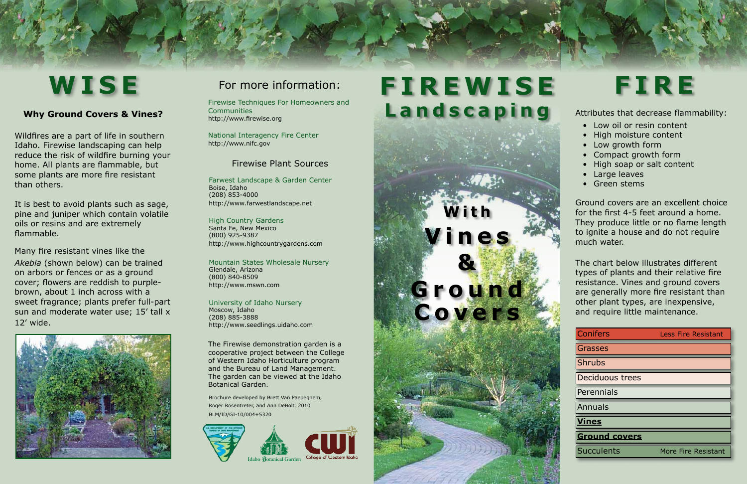Wildfires are a part of life in southern Idaho. Firewise landscaping can help reduce the risk of wildfire burning your home. All plants are flammable, but some plants are more fire resistant than others.

It is best to avoid plants such as sage, pine and juniper which contain volatile oils or resins and are extremely flammable.

| <b>Conifers</b>        | <b>Less Fire Resistant</b> |
|------------------------|----------------------------|
| <b>Grasses</b>         |                            |
| <b>Shrubs</b>          |                            |
| <b>Deciduous trees</b> |                            |
| Perennials             |                            |
| Annuals                |                            |
| <b>Vines</b>           |                            |
| <b>Ground covers</b>   |                            |
| <b>Succulents</b>      | More Fire Resistant        |
|                        |                            |

# WISE For more information: FIREWISE FIRE **Landscaping**

Many fire resistant vines like the *Akebia* (shown below) can be trained on arbors or fences or as a ground cover; flowers are reddish to purplebrown, about 1 inch across with a sweet fragrance; plants prefer full-part sun and moderate water use; 15' tall x 12' wide.



# **Why Ground Covers & Vines?**

The chart below illustrates different types of plants and their relative fire resistance. Vines and ground covers are generally more fire resistant than other plant types, are inexpensive, and require little maintenance.

**With**

**V i n e s** 

**&**

**G r o u n d** 

**Covers**

# For more information:

Firewise Techniques For Homeowners and Communities http://www.firewise.org

National Interagency Fire Center http://www.nifc.gov

The Firewise demonstration garden is a cooperative project between the College of Western Idaho Horticulture program and the Bureau of Land Management. The garden can be viewed at the Idaho Botanical Garden.

# Firewise Plant Sources

Farwest Landscape & Garden Center Boise, Idaho (208) 853-4000 http://www.farwestlandscape.net

High Country Gardens Santa Fe, New Mexico (800) 925-9387 http://www.highcountrygardens.com

Mountain States Wholesale Nursery Glendale, Arizona (800) 840-8509 http://www.mswn.com

University of Idaho Nursery Moscow, Idaho (208) 885-3888 http://www.seedlings.uidaho.com

# Attributes that decrease flammability:

- Low oil or resin content
- High moisture content
- Low growth form
- Compact growth form
- High soap or salt content
- Large leaves
- Green stems

Brochure developed by Brett Van Paepeghem, Roger Rosentreter, and Ann DeBolt. 2010 BLM/ID/GI-10/004+5320



Ground covers are an excellent choice for the first 4-5 feet around a home. They produce little or no flame length to ignite a house and do not require much water.